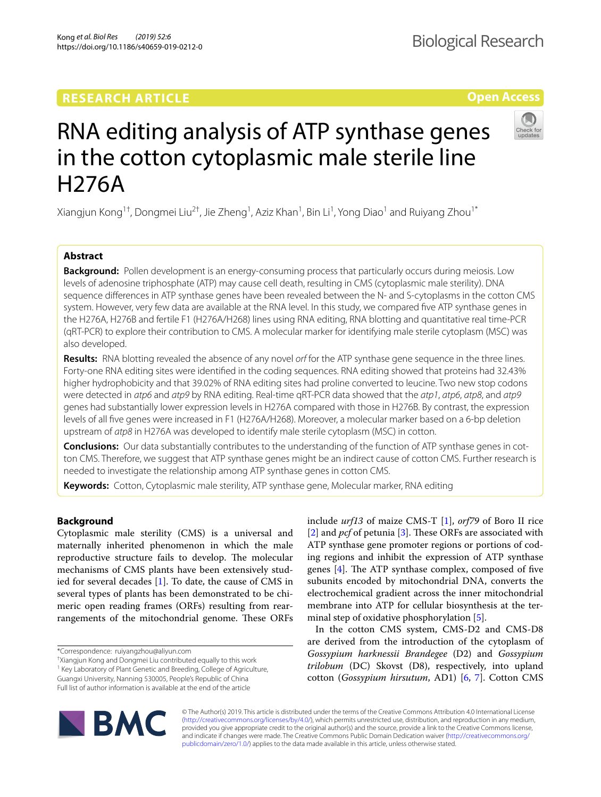# **RESEARCH ARTICLE**

# RNA editing analysis of ATP synthase genes in the cotton cytoplasmic male sterile line H276A

Xiangjun Kong<sup>1†</sup>, Dongmei Liu<sup>2†</sup>, Jie Zheng<sup>1</sup>, Aziz Khan<sup>1</sup>, Bin Li<sup>1</sup>, Yong Diao<sup>1</sup> and Ruiyang Zhou<sup>1\*</sup>

# **Abstract**

**Background:** Pollen development is an energy-consuming process that particularly occurs during meiosis. Low levels of adenosine triphosphate (ATP) may cause cell death, resulting in CMS (cytoplasmic male sterility). DNA sequence diferences in ATP synthase genes have been revealed between the N- and S-cytoplasms in the cotton CMS system. However, very few data are available at the RNA level. In this study, we compared fve ATP synthase genes in the H276A, H276B and fertile F1 (H276A/H268) lines using RNA editing, RNA blotting and quantitative real time-PCR (qRT-PCR) to explore their contribution to CMS. A molecular marker for identifying male sterile cytoplasm (MSC) was also developed.

**Results:** RNA blotting revealed the absence of any novel *orf* for the ATP synthase gene sequence in the three lines. Forty-one RNA editing sites were identifed in the coding sequences. RNA editing showed that proteins had 32.43% higher hydrophobicity and that 39.02% of RNA editing sites had proline converted to leucine. Two new stop codons were detected in *atp6* and *atp9* by RNA editing. Real-time qRT-PCR data showed that the *atp1*, *atp6*, *atp8*, and *atp9* genes had substantially lower expression levels in H276A compared with those in H276B. By contrast, the expression levels of all fve genes were increased in F1 (H276A/H268). Moreover, a molecular marker based on a 6-bp deletion upstream of *atp8* in H276A was developed to identify male sterile cytoplasm (MSC) in cotton.

**Conclusions:** Our data substantially contributes to the understanding of the function of ATP synthase genes in cotton CMS. Therefore, we suggest that ATP synthase genes might be an indirect cause of cotton CMS. Further research is needed to investigate the relationship among ATP synthase genes in cotton CMS.

**Keywords:** Cotton, Cytoplasmic male sterility, ATP synthase gene, Molecular marker, RNA editing

## **Background**

Cytoplasmic male sterility (CMS) is a universal and maternally inherited phenomenon in which the male reproductive structure fails to develop. The molecular mechanisms of CMS plants have been extensively studied for several decades  $[1]$  $[1]$  $[1]$ . To date, the cause of CMS in several types of plants has been demonstrated to be chimeric open reading frames (ORFs) resulting from rearrangements of the mitochondrial genome. These ORFs

\*Correspondence: ruiyangzhou@aliyun.com

† Xiangjun Kong and Dongmei Liu contributed equally to this work

<sup>1</sup> Key Laboratory of Plant Genetic and Breeding, College of Agriculture, Guangxi University, Nanning 530005, People's Republic of China Full list of author information is available at the end of the article

minal step of oxidative phosphorylation [\[5](#page-7-4)]. In the cotton CMS system, CMS-D2 and CMS-D8 are derived from the introduction of the cytoplasm of *Gossypium harknessii Brandegee* (D2) and *Gossypium trilobum* (DC) Skovst (D8), respectively, into upland cotton (*Gossypium hirsutum*, AD1) [[6,](#page-7-5) [7\]](#page-7-6). Cotton CMS

include *urf13* of maize CMS-T [\[1](#page-7-0)], *orf79* of Boro II rice [[2\]](#page-7-1) and *pcf* of petunia [\[3](#page-7-2)]. These ORFs are associated with ATP synthase gene promoter regions or portions of coding regions and inhibit the expression of ATP synthase genes  $[4]$  $[4]$ . The ATP synthase complex, composed of five subunits encoded by mitochondrial DNA, converts the electrochemical gradient across the inner mitochondrial membrane into ATP for cellular biosynthesis at the ter-



© The Author(s) 2019. This article is distributed under the terms of the Creative Commons Attribution 4.0 International License [\(http://creativecommons.org/licenses/by/4.0/\)](http://creativecommons.org/licenses/by/4.0/), which permits unrestricted use, distribution, and reproduction in any medium, provided you give appropriate credit to the original author(s) and the source, provide a link to the Creative Commons license, and indicate if changes were made. The Creative Commons Public Domain Dedication waiver ([http://creativecommons.org/](http://creativecommons.org/publicdomain/zero/1.0/) [publicdomain/zero/1.0/](http://creativecommons.org/publicdomain/zero/1.0/)) applies to the data made available in this article, unless otherwise stated.



**Open Access**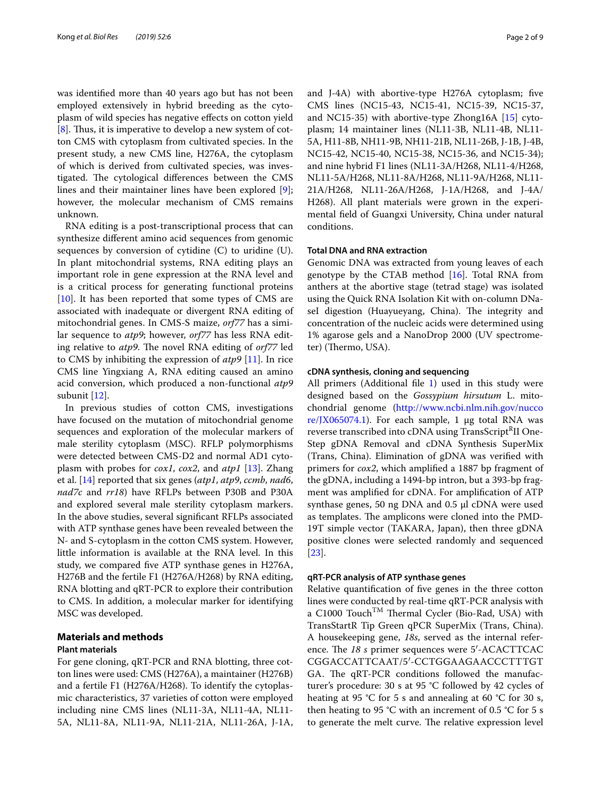was identifed more than 40 years ago but has not been employed extensively in hybrid breeding as the cytoplasm of wild species has negative efects on cotton yield  $[8]$  $[8]$ . Thus, it is imperative to develop a new system of cotton CMS with cytoplasm from cultivated species. In the present study, a new CMS line, H276A, the cytoplasm of which is derived from cultivated species, was investigated. The cytological differences between the CMS lines and their maintainer lines have been explored [\[9](#page-7-8)]; however, the molecular mechanism of CMS remains unknown.

RNA editing is a post-transcriptional process that can synthesize diferent amino acid sequences from genomic sequences by conversion of cytidine (C) to uridine (U). In plant mitochondrial systems, RNA editing plays an important role in gene expression at the RNA level and is a critical process for generating functional proteins [[10\]](#page-7-9). It has been reported that some types of CMS are associated with inadequate or divergent RNA editing of mitochondrial genes. In CMS-S maize, *orf77* has a similar sequence to *atp9*; however, *orf77* has less RNA editing relative to *atp9*. The novel RNA editing of *orf77* led to CMS by inhibiting the expression of *atp9* [\[11](#page-7-10)]. In rice CMS line Yingxiang A, RNA editing caused an amino acid conversion, which produced a non-functional *atp9* subunit [\[12\]](#page-7-11).

In previous studies of cotton CMS, investigations have focused on the mutation of mitochondrial genome sequences and exploration of the molecular markers of male sterility cytoplasm (MSC). RFLP polymorphisms were detected between CMS-D2 and normal AD1 cytoplasm with probes for *cox1*, *cox2*, and *atp1* [\[13](#page-7-12)]. Zhang et al. [[14](#page-7-13)] reported that six genes (*atp1*, *atp9*, *ccmb*, *nad6*, *nad7c* and *rr18*) have RFLPs between P30B and P30A and explored several male sterility cytoplasm markers. In the above studies, several signifcant RFLPs associated with ATP synthase genes have been revealed between the N- and S-cytoplasm in the cotton CMS system. However, little information is available at the RNA level. In this study, we compared fve ATP synthase genes in H276A, H276B and the fertile F1 (H276A/H268) by RNA editing, RNA blotting and qRT-PCR to explore their contribution to CMS. In addition, a molecular marker for identifying MSC was developed.

#### **Materials and methods**

#### **Plant materials**

For gene cloning, qRT-PCR and RNA blotting, three cotton lines were used: CMS (H276A), a maintainer (H276B) and a fertile F1 (H276A/H268). To identify the cytoplasmic characteristics, 37 varieties of cotton were employed including nine CMS lines (NL11-3A, NL11-4A, NL11- 5A, NL11-8A, NL11-9A, NL11-21A, NL11-26A, J-1A, and J-4A) with abortive-type H276A cytoplasm; five CMS lines (NC15-43, NC15-41, NC15-39, NC15-37, and NC15-35) with abortive-type Zhong16A [\[15](#page-7-14)] cytoplasm; 14 maintainer lines (NL11-3B, NL11-4B, NL11- 5A, H11-8B, NH11-9B, NH11-21B, NL11-26B, J-1B, J-4B, NC15-42, NC15-40, NC15-38, NC15-36, and NC15-34); and nine hybrid F1 lines (NL11-3A/H268, NL11-4/H268, NL11-5A/H268, NL11-8A/H268, NL11-9A/H268, NL11- 21A/H268, NL11-26A/H268, J-1A/H268, and J-4A/ H268). All plant materials were grown in the experimental feld of Guangxi University, China under natural conditions.

## **Total DNA and RNA extraction**

Genomic DNA was extracted from young leaves of each genotype by the CTAB method  $[16]$ . Total RNA from anthers at the abortive stage (tetrad stage) was isolated using the Quick RNA Isolation Kit with on-column DNaseI digestion (Huayueyang, China). The integrity and concentration of the nucleic acids were determined using 1% agarose gels and a NanoDrop 2000 (UV spectrometer) (Thermo, USA).

## **cDNA synthesis, cloning and sequencing**

All primers (Additional file [1](#page-6-0)) used in this study were designed based on the *Gossypium hirsutum* L. mitochondrial genome ([http://www.ncbi.nlm.nih.gov/nucco](http://www.ncbi.nlm.nih.gov/nuccore/JX065074.1) [re/JX065074.1](http://www.ncbi.nlm.nih.gov/nuccore/JX065074.1)). For each sample, 1  $\mu$ g total RNA was reverse transcribed into cDNA using TransScript<sup>R</sup>II One-Step gDNA Removal and cDNA Synthesis SuperMix (Trans, China). Elimination of gDNA was verifed with primers for *cox2*, which amplifed a 1887 bp fragment of the gDNA, including a 1494-bp intron, but a 393-bp fragment was amplifed for cDNA. For amplifcation of ATP synthase genes, 50 ng DNA and 0.5 μl cDNA were used as templates. The amplicons were cloned into the PMD-19T simple vector (TAKARA, Japan), then three gDNA positive clones were selected randomly and sequenced [[23\]](#page-7-16).

#### **qRT‑PCR analysis of ATP synthase genes**

Relative quantifcation of fve genes in the three cotton lines were conducted by real-time qRT-PCR analysis with a C1000 Touch<sup>TM</sup> Thermal Cycler (Bio-Rad, USA) with TransStartR Tip Green qPCR SuperMix (Trans, China). A housekeeping gene, *18s*, served as the internal reference. The 18 *s* primer sequences were 5'-ACACTTCAC CGGACCATTCAAT/5′-CCTGGAAGAACCCTTTGT GA. The qRT-PCR conditions followed the manufacturer's procedure: 30 s at 95 °C followed by 42 cycles of heating at 95 °C for 5 s and annealing at 60 °C for 30 s, then heating to 95 °C with an increment of 0.5 °C for 5 s to generate the melt curve. The relative expression level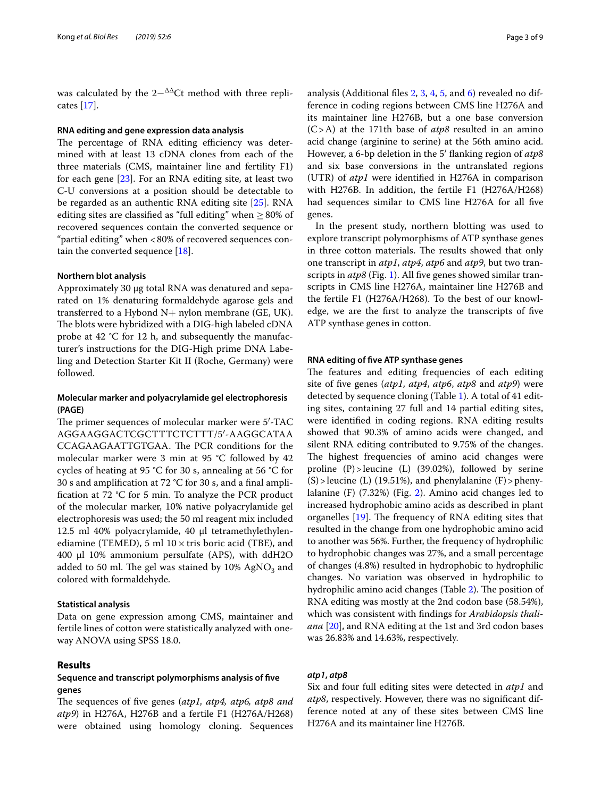was calculated by the  $2-\Delta\Delta$ Ct method with three replicates [[17](#page-7-17)].

#### **RNA editing and gene expression data analysis**

The percentage of RNA editing efficiency was determined with at least 13 cDNA clones from each of the three materials (CMS, maintainer line and fertility F1) for each gene [\[23\]](#page-7-16). For an RNA editing site, at least two C-U conversions at a position should be detectable to be regarded as an authentic RNA editing site [\[25](#page-7-18)]. RNA editing sites are classified as "full editing" when  $\geq 80\%$  of recovered sequences contain the converted sequence or "partial editing" when <80% of recovered sequences contain the converted sequence [\[18](#page-7-19)].

#### **Northern blot analysis**

Approximately 30 μg total RNA was denatured and separated on 1% denaturing formaldehyde agarose gels and transferred to a Hybond  $N+$  nylon membrane (GE, UK). The blots were hybridized with a DIG-high labeled cDNA probe at 42 °C for 12 h, and subsequently the manufacturer's instructions for the DIG-High prime DNA Labeling and Detection Starter Kit II (Roche, Germany) were followed.

## **Molecular marker and polyacrylamide gel electrophoresis (PAGE)**

The primer sequences of molecular marker were 5'-TAC AGGAAGGACTCGCTTTCTCTTT/5′-AAGGCATAA CCAGAAGAATTGTGAA. The PCR conditions for the molecular marker were 3 min at 95 °C followed by 42 cycles of heating at 95 °C for 30 s, annealing at 56 °C for 30 s and amplifcation at 72 °C for 30 s, and a fnal amplifcation at 72 °C for 5 min. To analyze the PCR product of the molecular marker, 10% native polyacrylamide gel electrophoresis was used; the 50 ml reagent mix included 12.5 ml 40% polyacrylamide, 40 μl tetramethylethylenediamine (TEMED), 5 ml  $10 \times$  tris boric acid (TBE), and 400 μl 10% ammonium persulfate (APS), with ddH2O added to 50 ml. The gel was stained by  $10\%$  AgNO<sub>3</sub> and colored with formaldehyde.

#### **Statistical analysis**

Data on gene expression among CMS, maintainer and fertile lines of cotton were statistically analyzed with oneway ANOVA using SPSS 18.0.

## **Results**

## **Sequence and transcript polymorphisms analysis of fve genes**

The sequences of five genes (atp1, atp4, atp6, atp8 and *atp9*) in H276A, H276B and a fertile F1 (H276A/H268) were obtained using homology cloning. Sequences analysis (Additional fles [2,](#page-6-1) [3,](#page-6-2) [4](#page-6-3), [5](#page-6-4), and [6](#page-6-5)) revealed no difference in coding regions between CMS line H276A and its maintainer line H276B, but a one base conversion (C>A) at the 171th base of *atp8* resulted in an amino acid change (arginine to serine) at the 56th amino acid. However, a 6-bp deletion in the 5′ fanking region of *atp8* and six base conversions in the untranslated regions (UTR) of *atp1* were identifed in H276A in comparison with H276B. In addition, the fertile F1 (H276A/H268) had sequences similar to CMS line H276A for all fve genes.

In the present study, northern blotting was used to explore transcript polymorphisms of ATP synthase genes in three cotton materials. The results showed that only one transcript in *atp1*, *atp4*, *atp6* and *atp9*, but two transcripts in *atp8* (Fig. [1\)](#page-3-0). All five genes showed similar transcripts in CMS line H276A, maintainer line H276B and the fertile F1 (H276A/H268). To the best of our knowledge, we are the frst to analyze the transcripts of fve ATP synthase genes in cotton.

#### **RNA editing of fve ATP synthase genes**

The features and editing frequencies of each editing site of fve genes (*atp1*, *atp4*, *atp6*, *atp8* and *atp9*) were detected by sequence cloning (Table [1](#page-4-0)). A total of 41 editing sites, containing 27 full and 14 partial editing sites, were identifed in coding regions. RNA editing results showed that 90.3% of amino acids were changed, and silent RNA editing contributed to 9.75% of the changes. The highest frequencies of amino acid changes were proline (P)>leucine (L) (39.02%), followed by serine  $(S)$  > leucine (L) (19.51%), and phenylalanine (F) > phenylalanine (F) (7.32%) (Fig. [2](#page-5-0)). Amino acid changes led to increased hydrophobic amino acids as described in plant organelles  $[19]$  $[19]$  $[19]$ . The frequency of RNA editing sites that resulted in the change from one hydrophobic amino acid to another was 56%. Further, the frequency of hydrophilic to hydrophobic changes was 27%, and a small percentage of changes (4.8%) resulted in hydrophobic to hydrophilic changes. No variation was observed in hydrophilic to hydrophilic amino acid changes (Table [2](#page-5-1)). The position of RNA editing was mostly at the 2nd codon base (58.54%), which was consistent with fndings for *Arabidopsis thaliana* [\[20\]](#page-7-21), and RNA editing at the 1st and 3rd codon bases was 26.83% and 14.63%, respectively.

## *atp1***,** *atp8*

Six and four full editing sites were detected in *atp1* and *atp8*, respectively. However, there was no signifcant difference noted at any of these sites between CMS line H276A and its maintainer line H276B.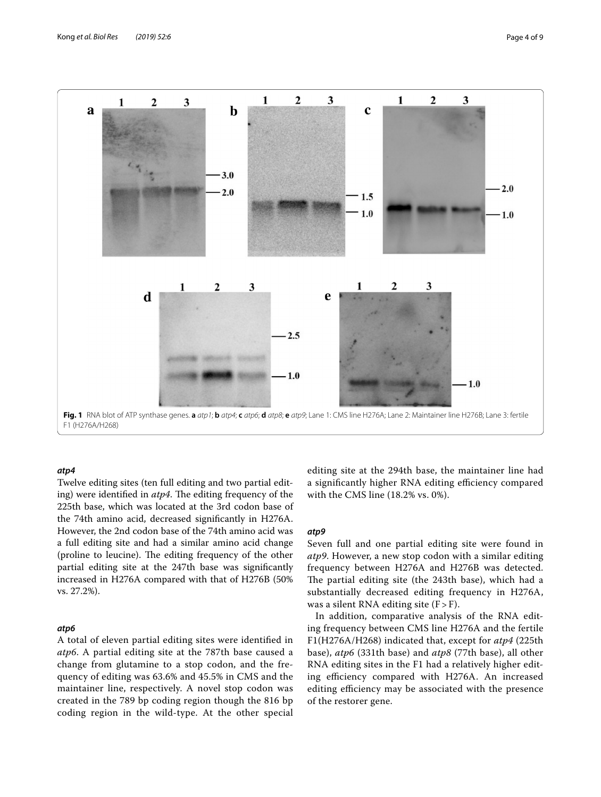

#### <span id="page-3-0"></span>*atp4*

Twelve editing sites (ten full editing and two partial editing) were identified in *atp4*. The editing frequency of the 225th base, which was located at the 3rd codon base of the 74th amino acid, decreased signifcantly in H276A. However, the 2nd codon base of the 74th amino acid was a full editing site and had a similar amino acid change (proline to leucine). The editing frequency of the other partial editing site at the 247th base was signifcantly increased in H276A compared with that of H276B (50% vs. 27.2%).

## *atp6*

A total of eleven partial editing sites were identifed in *atp6*. A partial editing site at the 787th base caused a change from glutamine to a stop codon, and the frequency of editing was 63.6% and 45.5% in CMS and the maintainer line, respectively. A novel stop codon was created in the 789 bp coding region though the 816 bp coding region in the wild-type. At the other special editing site at the 294th base, the maintainer line had a significantly higher RNA editing efficiency compared with the CMS line (18.2% vs. 0%).

## *atp9*

Seven full and one partial editing site were found in *atp9*. However, a new stop codon with a similar editing frequency between H276A and H276B was detected. The partial editing site (the 243th base), which had a substantially decreased editing frequency in H276A, was a silent RNA editing site  $(F > F)$ .

In addition, comparative analysis of the RNA editing frequency between CMS line H276A and the fertile F1(H276A/H268) indicated that, except for *atp4* (225th base), *atp6* (331th base) and *atp8* (77th base), all other RNA editing sites in the F1 had a relatively higher editing efficiency compared with H276A. An increased editing efficiency may be associated with the presence of the restorer gene.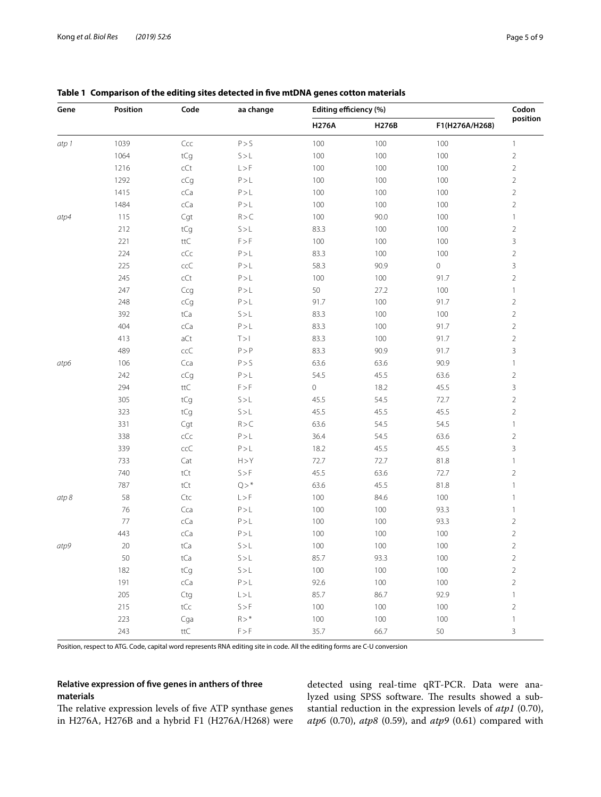| Gene  | Position | Code                             | aa change                   | Editing efficiency (%) |       |                     | Codon          |
|-------|----------|----------------------------------|-----------------------------|------------------------|-------|---------------------|----------------|
|       |          |                                  |                             | <b>H276A</b>           | H276B | F1(H276A/H268)      | position       |
| atp 1 | 1039     | Ccc                              | P > S                       | 100                    | 100   | 100                 | $\mathbf{1}$   |
|       | 1064     | tCg                              | S > L                       | 100                    | 100   | 100                 | $\overline{c}$ |
|       | 1216     | $\mathsf{c}\mathsf{C}\mathsf{t}$ | L > F                       | 100                    | 100   | 100                 | $\overline{2}$ |
|       | 1292     | cCg                              | P > L                       | 100                    | 100   | $100\,$             | $\overline{c}$ |
|       | 1415     | cCa                              | P > L                       | 100                    | 100   | 100                 | $\overline{2}$ |
|       | 1484     | cCa                              | P > L                       | 100                    | 100   | 100                 | $\overline{c}$ |
| atp4  | 115      | Cgt                              | R > C                       | 100                    | 90.0  | 100                 | $\mathbf{1}$   |
|       | 212      | tCg                              | S > L                       | 83.3                   | 100   | $100\,$             | $\overline{2}$ |
|       | 221      | $\mathsf{ttC}$                   | $\mathsf{F} > \mathsf{F}$   | 100                    | 100   | 100                 | 3              |
|       | 224      | $c$ C $c$                        | P > L                       | 83.3                   | 100   | 100                 | $\overline{c}$ |
|       | 225      | ccC                              | P > L                       | 58.3                   | 90.9  | $\mathsf{O}\xspace$ | 3              |
|       | 245      | $\mathsf{c}\mathsf{C}\mathsf{t}$ | P>L                         | 100                    | 100   | 91.7                | $\overline{2}$ |
|       | 247      | Ccg                              | P > L                       | 50                     | 27.2  | 100                 | $\mathbf{1}$   |
|       | 248      | cCg                              | P > L                       | 91.7                   | 100   | 91.7                | $\overline{c}$ |
|       | 392      | tCa                              | S > L                       | 83.3                   | 100   | 100                 | $\overline{c}$ |
|       | 404      | cCa                              | $\mathsf{P}\!>\!\mathsf{L}$ | 83.3                   | 100   | 91.7                | $\overline{2}$ |
|       | 413      | aCt                              | T > 1                       | 83.3                   | 100   | 91.7                | $\overline{c}$ |
|       | 489      | ccC                              | $\mathsf{P}>\mathsf{P}$     | 83.3                   | 90.9  | 91.7                | 3              |
| atp6  | 106      | Cca                              | P > S                       | 63.6                   | 63.6  | 90.9                | $\mathbb{1}$   |
|       | 242      | cCg                              | P > L                       | 54.5                   | 45.5  | 63.6                | $\overline{2}$ |
|       | 294      | $\mathsf{ttC}$                   | $\mathsf{F} > \mathsf{F}$   | $\mathbf 0$            | 18.2  | 45.5                | 3              |
|       | 305      | tCg                              | S > L                       | 45.5                   | 54.5  | 72.7                | $\overline{2}$ |
|       | 323      | tCg                              | S > L                       | 45.5                   | 45.5  | 45.5                | $\overline{2}$ |
|       | 331      | Cgt                              | R > C                       | 63.6                   | 54.5  | 54.5                | $\mathbf{1}$   |
|       | 338      | $c$ C $c$                        | P > L                       | 36.4                   | 54.5  | 63.6                | $\overline{2}$ |
|       | 339      | ccC                              | P > L                       | 18.2                   | 45.5  | 45.5                | 3              |
|       | 733      | Cat                              | H > Y                       | 72.7                   | 72.7  | 81.8                | $\mathbf{1}$   |
|       | 740      | tCt                              | S > F                       | 45.5                   | 63.6  | 72.7                | $\overline{c}$ |
|       | 787      | tCt                              | $Q > *$                     | 63.6                   | 45.5  | 81.8                | $\mathbf{1}$   |
| atp 8 | 58       | Ctc                              | L > F                       | 100                    | 84.6  | 100                 | $\mathbf{1}$   |
|       | 76       | Cca                              | P > L                       | 100                    | 100   | 93.3                | $\mathbf{1}$   |
|       | $77 \,$  | cCa                              | P > L                       | 100                    | 100   | 93.3                | $\overline{c}$ |
|       | 443      | cCa                              | P > L                       | 100                    | 100   | $100\,$             | $\overline{2}$ |
| atp9  | 20       | tCa                              | S > L                       | 100                    | 100   | 100                 | $\overline{2}$ |
|       | $50\,$   | tCa                              | $S > L$                     | 85.7                   | 93.3  | $100\,$             | 2              |
|       | 182      | tCg                              | $S > L$                     | $100\,$                | 100   | $100\,$             | $\overline{c}$ |
|       | 191      | cCa                              | $\mathsf{P}\!>\!\mathsf{L}$ | 92.6                   | 100   | $100\,$             | $\overline{2}$ |
|       | 205      | Ctg                              | $\mathsf{L}\!>\!\mathsf{L}$ | 85.7                   | 86.7  | 92.9                | $\mathbf{1}$   |
|       | 215      | $\mathsf{tCc}$                   | S > F                       | 100                    | 100   | $100\,$             | $\overline{2}$ |
|       | 223      | Cga                              | $R>^*$                      | $100\,$                | 100   | $100\,$             | $\mathbb{I}$   |
|       | 243      | $\mathsf{t}\mathsf{t}\mathsf{C}$ | $\mathsf{F} > \mathsf{F}$   | 35.7                   | 66.7  | 50                  | 3              |

## <span id="page-4-0"></span>**Table 1 Comparison of the editing sites detected in fve mtDNA genes cotton materials**

Position, respect to ATG. Code, capital word represents RNA editing site in code. All the editing forms are C-U conversion

## **Relative expression of fve genes in anthers of three materials**

The relative expression levels of five ATP synthase genes in H276A, H276B and a hybrid F1 (H276A/H268) were detected using real-time qRT-PCR. Data were analyzed using SPSS software. The results showed a substantial reduction in the expression levels of *atp1* (0.70), *atp6* (0.70), *atp8* (0.59), and *atp9* (0.61) compared with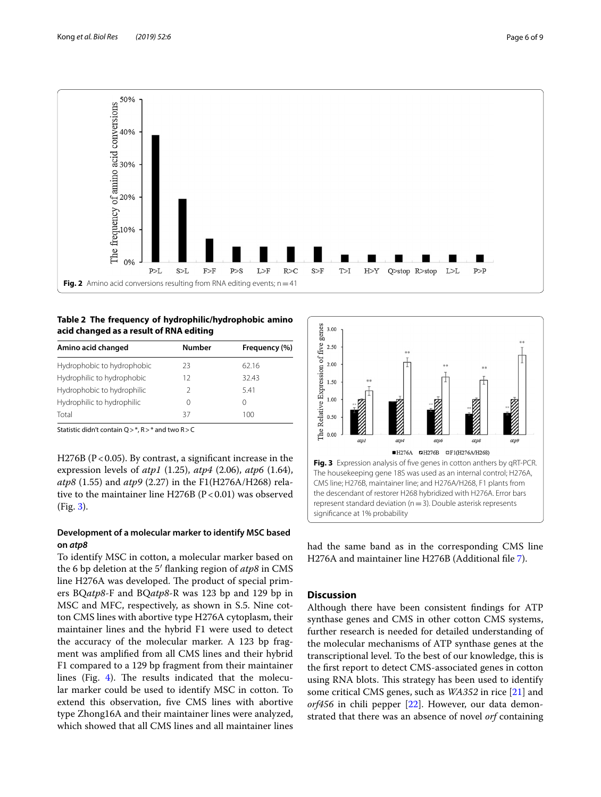

## <span id="page-5-1"></span><span id="page-5-0"></span>**Table 2 The frequency of hydrophilic/hydrophobic amino acid changed as a result of RNA editing**

| Amino acid changed         | Number | Frequency (%)    |  |
|----------------------------|--------|------------------|--|
| Hydrophobic to hydrophobic | 23     | 62.16            |  |
| Hydrophilic to hydrophobic | 12     | 32.43            |  |
| Hydrophobic to hydrophilic |        | 541              |  |
| Hydrophilic to hydrophilic | 0      | $\left( \right)$ |  |
| Total                      | 37     | 100              |  |

Statistic didn't contain Q>\*, R>\* and two R>C

H276B ( $P < 0.05$ ). By contrast, a significant increase in the expression levels of *atp1* (1.25), *atp4* (2.06), *atp6* (1.64), *atp8* (1.55) and *atp9* (2.27) in the F1(H276A/H268) relative to the maintainer line H276B ( $P < 0.01$ ) was observed (Fig. [3\)](#page-5-2).

## **Development of a molecular marker to identify MSC based on** *atp8*

To identify MSC in cotton, a molecular marker based on the 6 bp deletion at the 5′ fanking region of *atp8* in CMS line H276A was developed. The product of special primers BQ*atp8*-F and BQ*atp8*-R was 123 bp and 129 bp in MSC and MFC, respectively, as shown in S.5. Nine cotton CMS lines with abortive type H276A cytoplasm, their maintainer lines and the hybrid F1 were used to detect the accuracy of the molecular marker. A 123 bp fragment was amplifed from all CMS lines and their hybrid F1 compared to a 129 bp fragment from their maintainer lines (Fig. [4](#page-6-6)). The results indicated that the molecular marker could be used to identify MSC in cotton. To extend this observation, fve CMS lines with abortive type Zhong16A and their maintainer lines were analyzed, which showed that all CMS lines and all maintainer lines



<span id="page-5-2"></span>had the same band as in the corresponding CMS line H276A and maintainer line H276B (Additional fle [7](#page-6-7)).

## **Discussion**

Although there have been consistent fndings for ATP synthase genes and CMS in other cotton CMS systems, further research is needed for detailed understanding of the molecular mechanisms of ATP synthase genes at the transcriptional level. To the best of our knowledge, this is the frst report to detect CMS-associated genes in cotton using RNA blots. This strategy has been used to identify some critical CMS genes, such as *WA352* in rice [[21\]](#page-7-22) and *orf456* in chili pepper [[22\]](#page-7-23). However, our data demonstrated that there was an absence of novel *orf* containing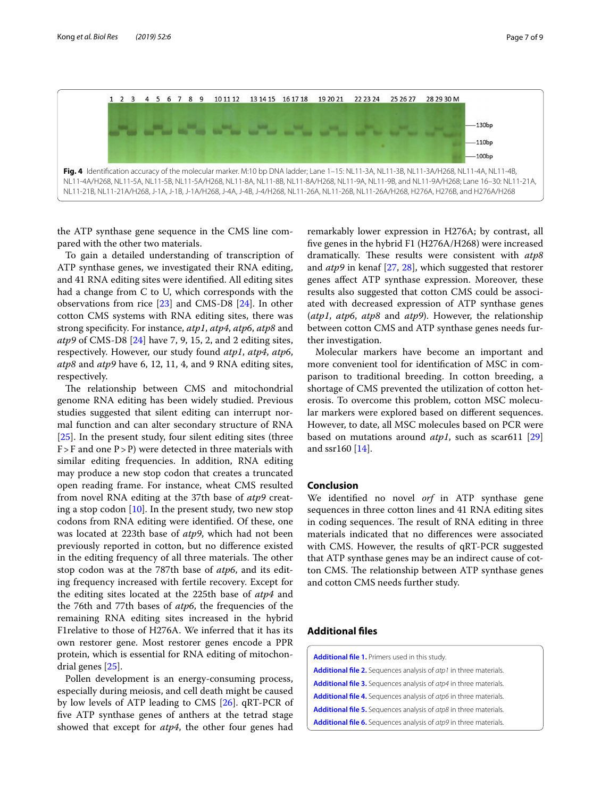

<span id="page-6-6"></span>the ATP synthase gene sequence in the CMS line compared with the other two materials.

To gain a detailed understanding of transcription of ATP synthase genes, we investigated their RNA editing, and 41 RNA editing sites were identifed. All editing sites had a change from C to U, which corresponds with the observations from rice [\[23\]](#page-7-16) and CMS-D8 [\[24](#page-7-24)]. In other cotton CMS systems with RNA editing sites, there was strong specifcity. For instance, *atp1*, *atp4*, *atp6*, *atp8* and *atp9* of CMS-D8 [[24\]](#page-7-24) have 7, 9, 15, 2, and 2 editing sites, respectively. However, our study found *atp1*, *atp4*, *atp6*, *atp8* and *atp9* have 6, 12, 11, 4, and 9 RNA editing sites, respectively.

The relationship between CMS and mitochondrial genome RNA editing has been widely studied. Previous studies suggested that silent editing can interrupt normal function and can alter secondary structure of RNA [[25\]](#page-7-18). In the present study, four silent editing sites (three  $F > F$  and one  $P > P$ ) were detected in three materials with similar editing frequencies. In addition, RNA editing may produce a new stop codon that creates a truncated open reading frame. For instance, wheat CMS resulted from novel RNA editing at the 37th base of *atp9* creating a stop codon  $[10]$  $[10]$ . In the present study, two new stop codons from RNA editing were identifed. Of these, one was located at 223th base of *atp9*, which had not been previously reported in cotton, but no diference existed in the editing frequency of all three materials. The other stop codon was at the 787th base of *atp6*, and its editing frequency increased with fertile recovery. Except for the editing sites located at the 225th base of *atp4* and the 76th and 77th bases of *atp6*, the frequencies of the remaining RNA editing sites increased in the hybrid F1relative to those of H276A. We inferred that it has its own restorer gene. Most restorer genes encode a PPR protein, which is essential for RNA editing of mitochondrial genes [\[25](#page-7-18)].

Pollen development is an energy-consuming process, especially during meiosis, and cell death might be caused by low levels of ATP leading to CMS [[26\]](#page-7-25). qRT-PCR of fve ATP synthase genes of anthers at the tetrad stage showed that except for *atp4*, the other four genes had

remarkably lower expression in H276A; by contrast, all fve genes in the hybrid F1 (H276A/H268) were increased dramatically. These results were consistent with  $atp8$ and *atp9* in kenaf [[27](#page-7-26), [28](#page-7-27)], which suggested that restorer genes afect ATP synthase expression. Moreover, these results also suggested that cotton CMS could be associated with decreased expression of ATP synthase genes (*atp1*, *atp6*, *atp8* and *atp9*). However, the relationship between cotton CMS and ATP synthase genes needs further investigation.

Molecular markers have become an important and more convenient tool for identifcation of MSC in comparison to traditional breeding. In cotton breeding, a shortage of CMS prevented the utilization of cotton heterosis. To overcome this problem, cotton MSC molecular markers were explored based on diferent sequences. However, to date, all MSC molecules based on PCR were based on mutations around *atp1*, such as scar611 [[29](#page-8-0)] and ssr160 [[14\]](#page-7-13).

#### **Conclusion**

We identifed no novel *orf* in ATP synthase gene sequences in three cotton lines and 41 RNA editing sites in coding sequences. The result of RNA editing in three materials indicated that no diferences were associated with CMS. However, the results of qRT-PCR suggested that ATP synthase genes may be an indirect cause of cotton CMS. The relationship between ATP synthase genes and cotton CMS needs further study.

## **Additional fles**

<span id="page-6-7"></span><span id="page-6-5"></span><span id="page-6-4"></span><span id="page-6-3"></span><span id="page-6-2"></span><span id="page-6-1"></span><span id="page-6-0"></span>

| Additional file 1. Primers used in this study.                                  |
|---------------------------------------------------------------------------------|
| <b>Additional file 2.</b> Sequences analysis of <i>atp1</i> in three materials. |
| <b>Additional file 3.</b> Sequences analysis of <i>atp4</i> in three materials. |
| <b>Additional file 4.</b> Sequences analysis of atp6 in three materials.        |
| <b>Additional file 5.</b> Sequences analysis of atp8 in three materials.        |
| <b>Additional file 6.</b> Sequences analysis of atp9 in three materials.        |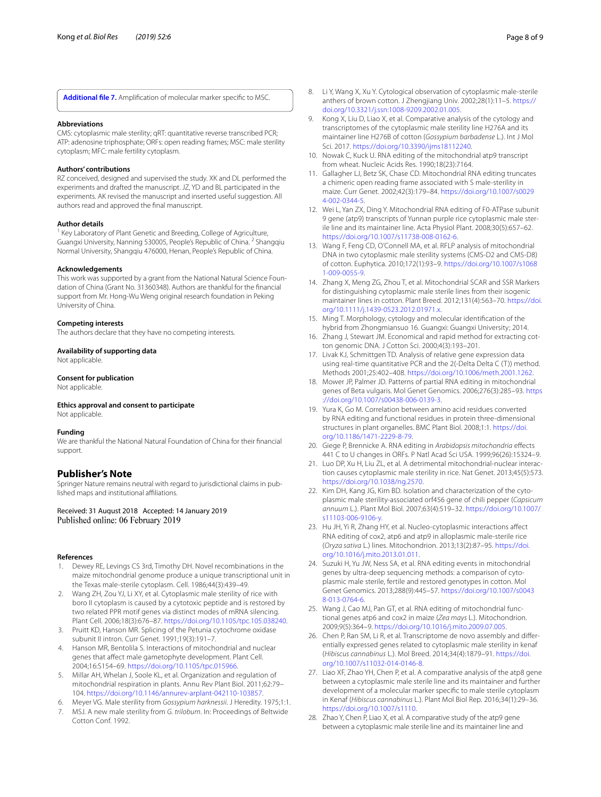**[Additional fle 7.](https://doi.org/10.1186/s40659-019-0212-0)** Amplifcation of molecular marker specifc to MSC.

#### **Abbreviations**

CMS: cytoplasmic male sterility; qRT: quantitative reverse transcribed PCR; ATP: adenosine triphosphate; ORFs: open reading frames; MSC: male sterility cytoplasm; MFC: male fertility cytoplasm.

#### **Authors' contributions**

RZ conceived, designed and supervised the study. XK and DL performed the experiments and drafted the manuscript. JZ, YD and BL participated in the experiments. AK revised the manuscript and inserted useful suggestion. All authors read and approved the fnal manuscript.

#### **Author details**

Key Laboratory of Plant Genetic and Breeding, College of Agriculture, Guangxi University, Nanning 530005, People's Republic of China. <sup>2</sup> Shangqiu Normal University, Shangqiu 476000, Henan, People's Republic of China.

#### **Acknowledgements**

This work was supported by a grant from the National Natural Science Foundation of China (Grant No. 31360348). Authors are thankful for the fnancial support from Mr. Hong-Wu Weng original research foundation in Peking University of China.

#### **Competing interests**

The authors declare that they have no competing interests.

#### **Availability of supporting data**

Not applicable.

## **Consent for publication**

Not applicable.

#### **Ethics approval and consent to participate**

Not applicable.

#### **Funding**

We are thankful the National Natural Foundation of China for their fnancial support.

## **Publisher's Note**

Springer Nature remains neutral with regard to jurisdictional claims in published maps and institutional affiliations.

#### Received: 31 August 2018 Accepted: 14 January 2019 Published online: 06 February 2019

#### **References**

- <span id="page-7-0"></span>1. Dewey RE, Levings CS 3rd, Timothy DH. Novel recombinations in the maize mitochondrial genome produce a unique transcriptional unit in the Texas male-sterile cytoplasm. Cell. 1986;44(3):439–49.
- <span id="page-7-1"></span>2. Wang ZH, Zou YJ, Li XY, et al. Cytoplasmic male sterility of rice with boro II cytoplasm is caused by a cytotoxic peptide and is restored by two related PPR motif genes via distinct modes of mRNA silencing. Plant Cell. 2006;18(3):676–87. [https://doi.org/10.1105/tpc.105.038240.](https://doi.org/10.1105/tpc.105.038240)
- <span id="page-7-2"></span>3. Pruitt KD, Hanson MR. Splicing of the Petunia cytochrome oxidase subunit II intron. Curr Genet. 1991;19(3):191–7.
- <span id="page-7-3"></span>4. Hanson MR, Bentolila S. Interactions of mitochondrial and nuclear genes that afect male gametophyte development. Plant Cell. 2004;16:S154–69. [https://doi.org/10.1105/tpc.015966.](https://doi.org/10.1105/tpc.015966)
- <span id="page-7-4"></span>5. Millar AH, Whelan J, Soole KL, et al. Organization and regulation of mitochondrial respiration in plants. Annu Rev Plant Biol. 2011;62:79– 104. [https://doi.org/10.1146/annurev-arplant-042110-103857.](https://doi.org/10.1146/annurev-arplant-042110-103857)
- <span id="page-7-5"></span>6. Meyer VG. Male sterility from *Gossypium harknessii*. J Heredity. 1975;1:1.
- <span id="page-7-6"></span>7. MSJ. A new male sterility from *G. trilobum*. In: Proceedings of Beltwide Cotton Conf. 1992.
- <span id="page-7-7"></span>8. Li Y, Wang X, Xu Y. Cytological observation of cytoplasmic male-sterile anthers of brown cotton. J Zhengjiang Univ. 2002;28(1):11–5. [https://](https://doi.org/10.3321/j.ssn:1008-9209.2002.01.005) [doi.org/10.3321/j.ssn:1008-9209.2002.01.005](https://doi.org/10.3321/j.ssn:1008-9209.2002.01.005).
- <span id="page-7-8"></span>9. Kong X, Liu D, Liao X, et al. Comparative analysis of the cytology and transcriptomes of the cytoplasmic male sterility line H276A and its maintainer line H276B of cotton (*Gossypium barbadense* L.). Int J Mol Sci. 2017. [https://doi.org/10.3390/ijms18112240.](https://doi.org/10.3390/ijms18112240)
- <span id="page-7-9"></span>10. Nowak C, Kuck U. RNA editing of the mitochondrial atp9 transcript from wheat. Nucleic Acids Res. 1990;18(23):7164.
- <span id="page-7-10"></span>11. Gallagher LJ, Betz SK, Chase CD. Mitochondrial RNA editing truncates a chimeric open reading frame associated with S male-sterility in maize. Curr Genet. 2002;42(3):179–84. [https://doi.org/10.1007/s0029](https://doi.org/10.1007/s00294-002-0344-5) [4-002-0344-5.](https://doi.org/10.1007/s00294-002-0344-5)
- <span id="page-7-11"></span>12. Wei L, Yan ZX, Ding Y. Mitochondrial RNA editing of F0-ATPase subunit 9 gene (atp9) transcripts of Yunnan purple rice cytoplasmic male sterile line and its maintainer line. Acta Physiol Plant. 2008;30(5):657–62. [https://doi.org/10.1007/s11738-008-0162-6.](https://doi.org/10.1007/s11738-008-0162-6)
- <span id="page-7-12"></span>13. Wang F, Feng CD, O'Connell MA, et al. RFLP analysis of mitochondrial DNA in two cytoplasmic male sterility systems (CMS-D2 and CMS-D8) of cotton. Euphytica. 2010;172(1):93–9. [https://doi.org/10.1007/s1068](https://doi.org/10.1007/s10681-009-0055-9) [1-009-0055-9.](https://doi.org/10.1007/s10681-009-0055-9)
- <span id="page-7-13"></span>14. Zhang X, Meng ZG, Zhou T, et al. Mitochondrial SCAR and SSR Markers for distinguishing cytoplasmic male sterile lines from their isogenic maintainer lines in cotton. Plant Breed. 2012;131(4):563–70. [https://doi.](https://doi.org/10.1111/j.1439-0523.2012.01971.x) [org/10.1111/j.1439-0523.2012.01971.x.](https://doi.org/10.1111/j.1439-0523.2012.01971.x)
- <span id="page-7-14"></span>15. Ming T. Morphology, cytology and molecular identifcation of the hybrid from Zhongmiansuo 16. Guangxi: Guangxi University; 2014.
- <span id="page-7-15"></span>16. Zhang J, Stewart JM. Economical and rapid method for extracting cotton genomic DNA. J Cotton Sci. 2000;4(3):193–201.
- <span id="page-7-17"></span>17. Livak KJ, Schmittgen TD. Analysis of relative gene expression data using real-time quantitative PCR and the 2(-Delta Delta C (T)) method. Methods 2001;25:402–408. [https://doi.org/10.1006/meth.2001.1262.](https://doi.org/10.1006/meth.2001.1262)
- <span id="page-7-19"></span>18. Mower JP, Palmer JD. Patterns of partial RNA editing in mitochondrial genes of Beta vulgaris. Mol Genet Genomics. 2006;276(3):285–93. [https](https://doi.org/10.1007/s00438-006-0139-3) [://doi.org/10.1007/s00438-006-0139-3.](https://doi.org/10.1007/s00438-006-0139-3)
- <span id="page-7-20"></span>19. Yura K, Go M. Correlation between amino acid residues converted by RNA editing and functional residues in protein three-dimensional structures in plant organelles. BMC Plant Biol. 2008;1:1. [https://doi.](https://doi.org/10.1186/1471-2229-8-79) [org/10.1186/1471-2229-8-79](https://doi.org/10.1186/1471-2229-8-79).
- <span id="page-7-21"></span>20. Giege P, Brennicke A. RNA editing in *Arabidopsis mitochondria* efects 441 C to U changes in ORFs. P Natl Acad Sci USA. 1999;96(26):15324–9.
- <span id="page-7-22"></span>21. Luo DP, Xu H, Liu ZL, et al. A detrimental mitochondrial-nuclear interaction causes cytoplasmic male sterility in rice. Nat Genet. 2013;45(5):573. [https://doi.org/10.1038/ng.2570.](https://doi.org/10.1038/ng.2570)
- <span id="page-7-23"></span>22. Kim DH, Kang JG, Kim BD. Isolation and characterization of the cytoplasmic male sterility-associated orf456 gene of chili pepper (*Capsicum annuum* L.). Plant Mol Biol. 2007;63(4):519–32. [https://doi.org/10.1007/](https://doi.org/10.1007/s11103-006-9106-y) [s11103-006-9106-y.](https://doi.org/10.1007/s11103-006-9106-y)
- <span id="page-7-16"></span>23. Hu JH, Yi R, Zhang HY, et al. Nucleo-cytoplasmic interactions afect RNA editing of cox2, atp6 and atp9 in alloplasmic male-sterile rice (*Oryza sativa* L.) lines. Mitochondrion. 2013;13(2):87–95. [https://doi.](https://doi.org/10.1016/j.mito.2013.01.011) [org/10.1016/j.mito.2013.01.011](https://doi.org/10.1016/j.mito.2013.01.011).
- <span id="page-7-24"></span>24. Suzuki H, Yu JW, Ness SA, et al. RNA editing events in mitochondrial genes by ultra-deep sequencing methods: a comparison of cytoplasmic male sterile, fertile and restored genotypes in cotton. Mol Genet Genomics. 2013;288(9):445–57. [https://doi.org/10.1007/s0043](https://doi.org/10.1007/s00438-013-0764-6) [8-013-0764-6.](https://doi.org/10.1007/s00438-013-0764-6)
- <span id="page-7-18"></span>25. Wang J, Cao MJ, Pan GT, et al. RNA editing of mitochondrial functional genes atp6 and cox2 in maize (*Zea mays* L.). Mitochondrion. 2009;9(5):364–9.<https://doi.org/10.1016/j.mito.2009.07.005>.
- <span id="page-7-25"></span>26. Chen P, Ran SM, Li R, et al. Transcriptome de novo assembly and diferentially expressed genes related to cytoplasmic male sterility in kenaf (*Hibiscus cannabinus* L.). Mol Breed. 2014;34(4):1879–91. [https://doi.](https://doi.org/10.1007/s11032-014-0146-8) [org/10.1007/s11032-014-0146-8.](https://doi.org/10.1007/s11032-014-0146-8)
- <span id="page-7-26"></span>27. Liao XF, Zhao YH, Chen P, et al. A comparative analysis of the atp8 gene between a cytoplasmic male sterile line and its maintainer and further development of a molecular marker specifc to male sterile cytoplasm in Kenaf (*Hibiscus cannabinus* L.). Plant Mol Biol Rep. 2016;34(1):29–36. <https://doi.org/10.1007/s1110>.
- <span id="page-7-27"></span>28. Zhao Y, Chen P, Liao X, et al. A comparative study of the atp9 gene between a cytoplasmic male sterile line and its maintainer line and